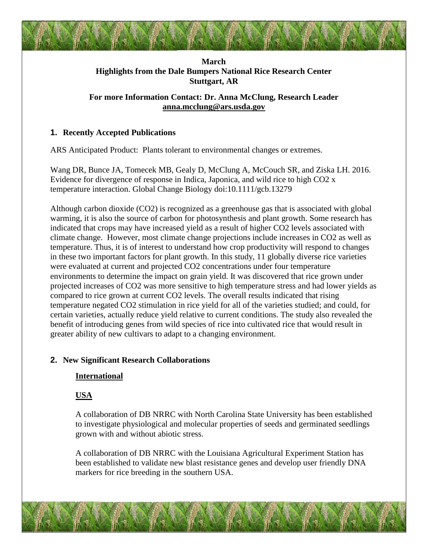## **March Highlights from the Dale Bumpers National Rice Research Center Stuttgart, AR**

## **For more Information Contact: Dr. Anna McClung, Research Leader [anna.mcclung@ars.usda.gov](mailto:anna.mcclung@ars.usda.gov)**

## **1. Recently Accepted Publications**

ARS Anticipated Product: Plants tolerant to environmental changes or extremes.

[Wang DR,](http://www.ncbi.nlm.nih.gov/pubmed/?term=Wang%20DR%5BAuthor%5D&cauthor=true&cauthor_uid=26959982) [Bunce JA,](http://www.ncbi.nlm.nih.gov/pubmed/?term=Bunce%20JA%5BAuthor%5D&cauthor=true&cauthor_uid=26959982) [Tomecek MB,](http://www.ncbi.nlm.nih.gov/pubmed/?term=Tomecek%20MB%5BAuthor%5D&cauthor=true&cauthor_uid=26959982) [Gealy D,](http://www.ncbi.nlm.nih.gov/pubmed/?term=Gealy%20D%5BAuthor%5D&cauthor=true&cauthor_uid=26959982) [McClung A,](http://www.ncbi.nlm.nih.gov/pubmed/?term=McClung%20A%5BAuthor%5D&cauthor=true&cauthor_uid=26959982) [McCouch SR,](http://www.ncbi.nlm.nih.gov/pubmed/?term=McCouch%20SR%5BAuthor%5D&cauthor=true&cauthor_uid=26959982) and [Ziska LH.](http://www.ncbi.nlm.nih.gov/pubmed/?term=Ziska%20LH%5BAuthor%5D&cauthor=true&cauthor_uid=26959982) 2016. Evidence for divergence of response in Indica, Japonica, and wild rice to high CO2 x temperature interaction. Global Change Biology doi:10.1111/gcb.13279

Although carbon dioxide (CO2) is recognized as a greenhouse gas that is associated with global warming, it is also the source of carbon for photosynthesis and plant growth. Some research has indicated that crops may have increased yield as a result of higher CO2 levels associated with climate change. However, most climate change projections include increases in CO2 as well as temperature. Thus, it is of interest to understand how crop productivity will respond to changes in these two important factors for plant growth. In this study, 11 globally diverse rice varieties were evaluated at current and projected CO2 concentrations under four temperature environments to determine the impact on grain yield. It was discovered that rice grown under projected increases of CO2 was more sensitive to high temperature stress and had lower yields as compared to rice grown at current CO2 levels. The overall results indicated that rising temperature negated CO2 stimulation in rice yield for all of the varieties studied; and could, for certain varieties, actually reduce yield relative to current conditions. The study also revealed the benefit of introducing genes from wild species of rice into cultivated rice that would result in greater ability of new cultivars to adapt to a changing environment.

# **2. New Significant Research Collaborations**

### **International**

# **USA**

A collaboration of DB NRRC with North Carolina State University has been established to investigate physiological and molecular properties of seeds and germinated seedlings grown with and without abiotic stress.

A collaboration of DB NRRC with the Louisiana Agricultural Experiment Station has been established to validate new blast resistance genes and develop user friendly DNA markers for rice breeding in the southern USA.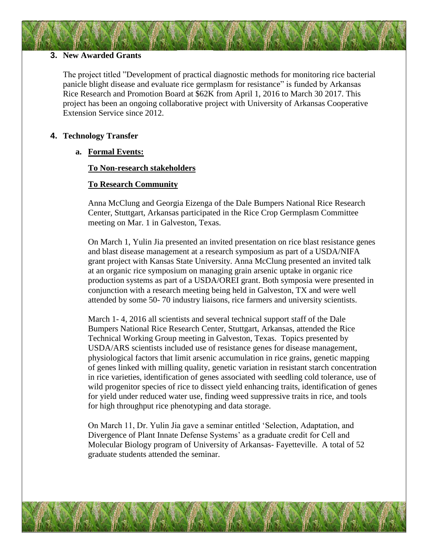### **3. New Awarded Grants**

The project titled "Development of practical diagnostic methods for monitoring rice bacterial panicle blight disease and evaluate rice germplasm for resistance" is funded by Arkansas Rice Research and Promotion Board at \$62K from April 1, 2016 to March 30 2017. This project has been an ongoing collaborative project with University of Arkansas Cooperative Extension Service since 2012.

### **4. Technology Transfer**

### **a. Formal Events:**

### **To Non-research stakeholders**

### **To Research Community**

Anna McClung and Georgia Eizenga of the Dale Bumpers National Rice Research Center, Stuttgart, Arkansas participated in the Rice Crop Germplasm Committee meeting on Mar. 1 in Galveston, Texas.

On March 1, Yulin Jia presented an invited presentation on rice blast resistance genes and blast disease management at a research symposium as part of a USDA/NIFA grant project with Kansas State University. Anna McClung presented an invited talk at an organic rice symposium on managing grain arsenic uptake in organic rice production systems as part of a USDA/OREI grant. Both symposia were presented in conjunction with a research meeting being held in Galveston, TX and were well attended by some 50- 70 industry liaisons, rice farmers and university scientists.

March 1- 4, 2016 all scientists and several technical support staff of the Dale Bumpers National Rice Research Center, Stuttgart, Arkansas, attended the Rice Technical Working Group meeting in Galveston, Texas. Topics presented by USDA/ARS scientists included use of resistance genes for disease management, physiological factors that limit arsenic accumulation in rice grains, genetic mapping of genes linked with milling quality, genetic variation in resistant starch concentration in rice varieties, identification of genes associated with seedling cold tolerance, use of wild progenitor species of rice to dissect yield enhancing traits, identification of genes for yield under reduced water use, finding weed suppressive traits in rice, and tools for high throughput rice phenotyping and data storage.

On March 11, Dr. Yulin Jia gave a seminar entitled 'Selection, Adaptation, and Divergence of Plant Innate Defense Systems' as a graduate credit for Cell and Molecular Biology program of University of Arkansas- Fayetteville. A total of 52 graduate students attended the seminar.